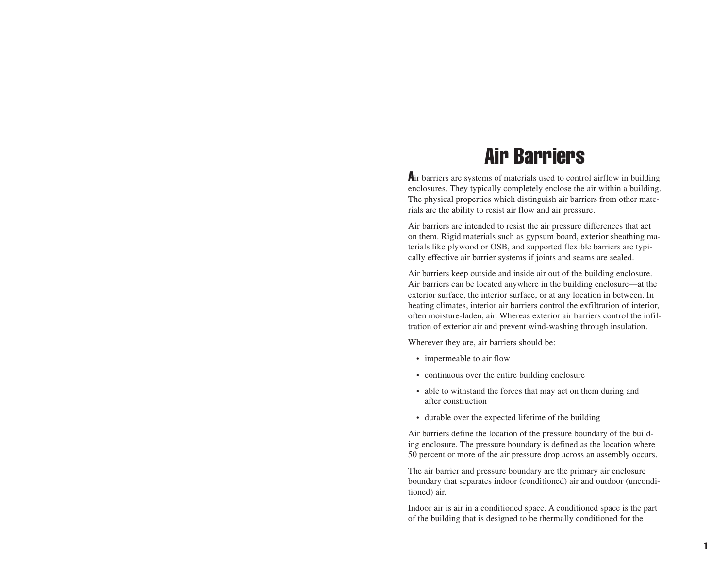# Air Barriers

Air barriers are systems of materials used to control airflow in building enclosures. They typically completely enclose the air within a building. The physical properties which distinguish air barriers from other materials are the ability to resist air flow and air pressure.

Air barriers are intended to resist the air pressure differences that act on them. Rigid materials such as gypsum board, exterior sheathing materials like plywood or OSB, and supported flexible barriers are typically effective air barrier systems if joints and seams are sealed.

Air barriers keep outside and inside air out of the building enclosure. Air barriers can be located anywhere in the building enclosure—at the exterior surface, the interior surface, or at any location in between. In heating climates, interior air barriers control the exfiltration of interior, often moisture-laden, air. Whereas exterior air barriers control the infiltration of exterior air and prevent wind-washing through insulation.

Wherever they are, air barriers should be:

- impermeable to air flow
- continuous over the entire building enclosure
- able to withstand the forces that may act on them during and after construction
- durable over the expected lifetime of the building

Air barriers define the location of the pressure boundary of the building enclosure. The pressure boundary is defined as the location where 50 percent or more of the air pressure drop across an assembly occurs.

The air barrier and pressure boundary are the primary air enclosure boundary that separates indoor (conditioned) air and outdoor (unconditioned) air.

Indoor air is air in a conditioned space. A conditioned space is the part of the building that is designed to be thermally conditioned for the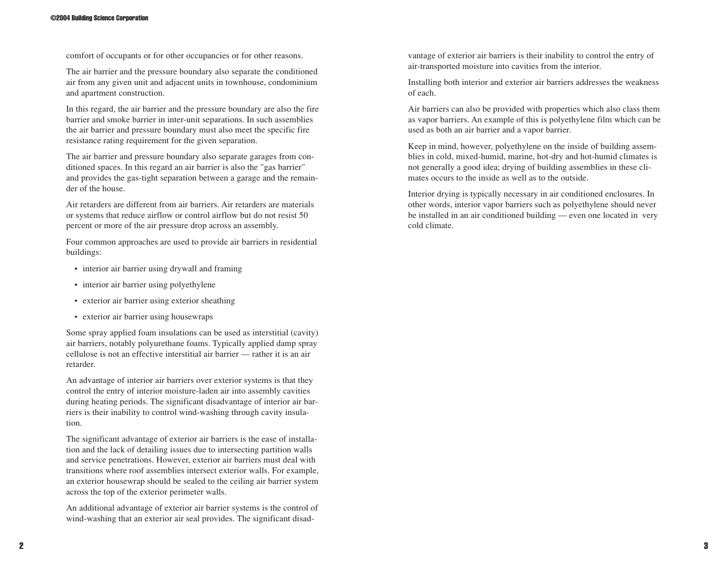comfort of occupants or for other occupancies or for other reasons.

The air barrier and the pressure boundary also separate the conditioned air from any given unit and adjacent units in townhouse, condominium and apartment construction.

In this regard, the air barrier and the pressure boundary are also the fire barrier and smoke barrier in inter-unit separations. In such assemblies the air barrier and pressure boundary must also meet the specific fire resistance rating requirement for the given separation.

The air barrier and pressure boundary also separate garages from conditioned spaces. In this regard an air barrier is also the "gas barrier" and provides the gas-tight separation between a garage and the remainder of the house.

Air retarders are different from air barriers. Air retarders are materials or systems that reduce airflow or control airflow but do not resist 50 percent or more of the air pressure drop across an assembly.

Four common approaches are used to provide air barriers in residential buildings:

- interior air barrier using drywall and framing
- interior air barrier using polyethylene
- exterior air barrier using exterior sheathing
- exterior air barrier using housewraps

Some spray applied foam insulations can be used as interstitial (cavity) air barriers, notably polyurethane foams. Typically applied damp spray cellulose is not an effective interstitial air barrier — rather it is an air retarder.

An advantage of interior air barriers over exterior systems is that they control the entry of interior moisture-laden air into assembly cavities during heating periods. The significant disadvantage of interior air barriers is their inability to control wind-washing through cavity insulation.

The significant advantage of exterior air barriers is the ease of installation and the lack of detailing issues due to intersecting partition walls and service penetrations. However, exterior air barriers must deal with transitions where roof assemblies intersect exterior walls. For example, an exterior housewrap should be sealed to the ceiling air barrier system across the top of the exterior perimeter walls.

An additional advantage of exterior air barrier systems is the control of wind-washing that an exterior air seal provides. The significant disadvantage of exterior air barriers is their inability to control the entry of air-transported moisture into cavities from the interior.

Installing both interior and exterior air barriers addresses the weakness of each.

Air barriers can also be provided with properties which also class them as vapor barriers. An example of this is polyethylene film which can be used as both an air barrier and a vapor barrier.

Keep in mind, however, polyethylene on the inside of building assem blies in cold, mixed-humid, marine, hot-dry and hot-humid climates is not generally a good idea; drying of building assemblies in these cli mates occurs to the inside as well as to the outside.

Interior drying is typically necessary in air conditioned enclosures. In other words, interior vapor barriers such as polyethylene should never be installed in an air conditioned building — even one located in very cold climate.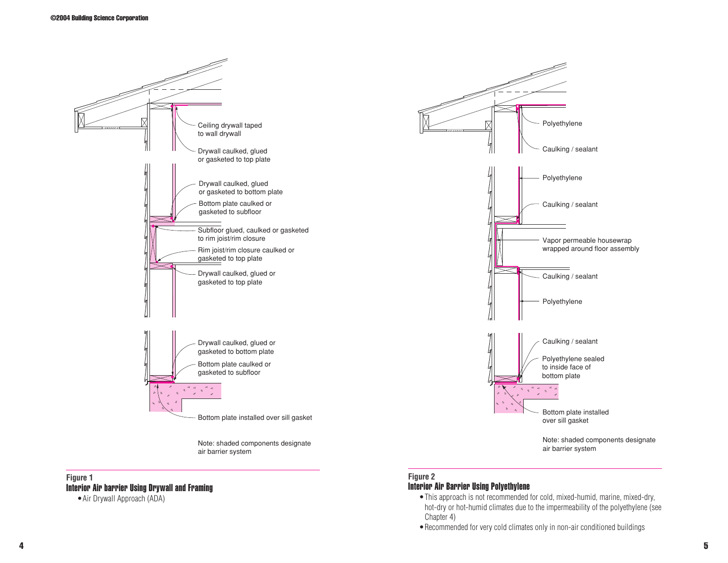

#### **Figure 1** Interior Air barrier Using Drywall and Framing

•Air Drywall Approach (ADA)

# **Figure 2**

## Interior Air Barrier Using Polyethylene

- •This approach is not recommended for cold, mixed-humid, marine, mixed-dry, hot-dry or hot-humid climates due to the impermeability of the polyethylene (see Chapter 4)
- •Recommended for very cold climates only in non-air conditioned buildings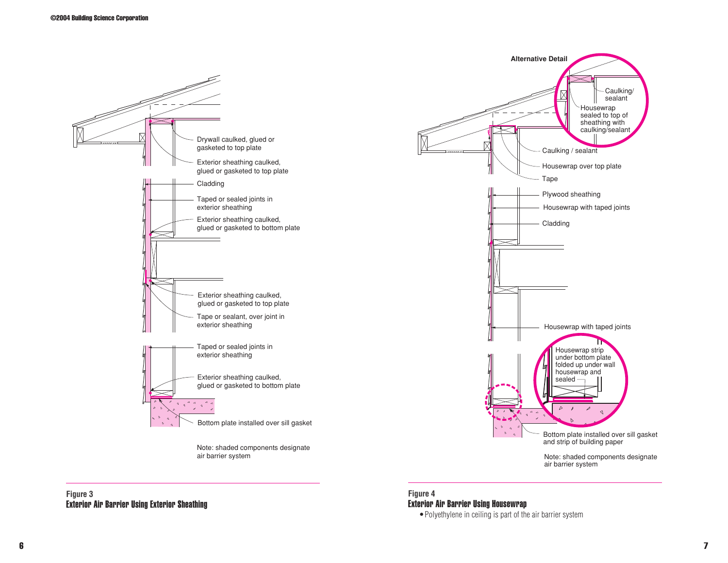

#### **Figure 3** Exterior Air Barrier Using Exterior Sheathing

# **Figure 4** Exterior Air Barrier Using Housewrap

•Polyethylene in ceiling is part of the air barrier system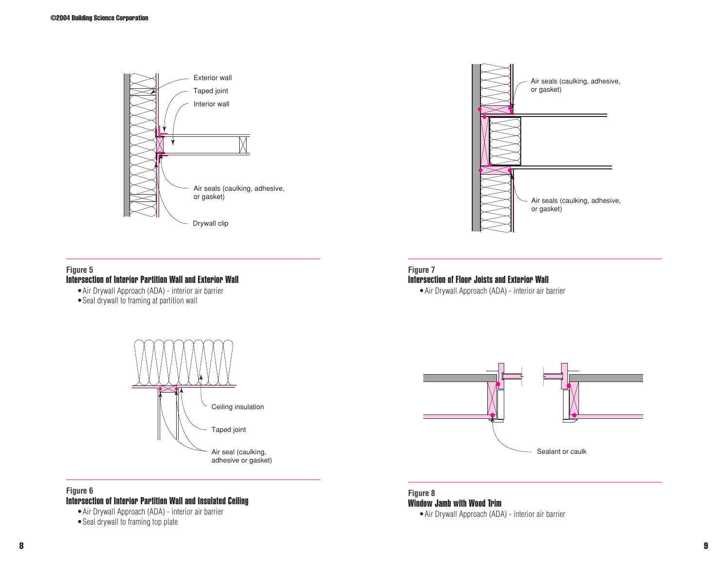



#### **Figure 5**

#### Intersection of Interior Partition Wall and Exterior Wall

- •Air Drywall Approach (ADA) interior air barrier
- Seal drywall to framing at partition wall



#### Intersection of Floor Joists and Exterior Wall

•Air Drywall Approach (ADA) - interior air barrier



## **Figure 6**

#### Intersection of Interior Partition Wall and Insulated Ceiling

•Air Drywall Approach (ADA) - interior air barrier

• Seal drywall to framing top plate



**Figure 8** Window Jamb with Wood Trim

•Air Drywall Approach (ADA) - interior air barrier